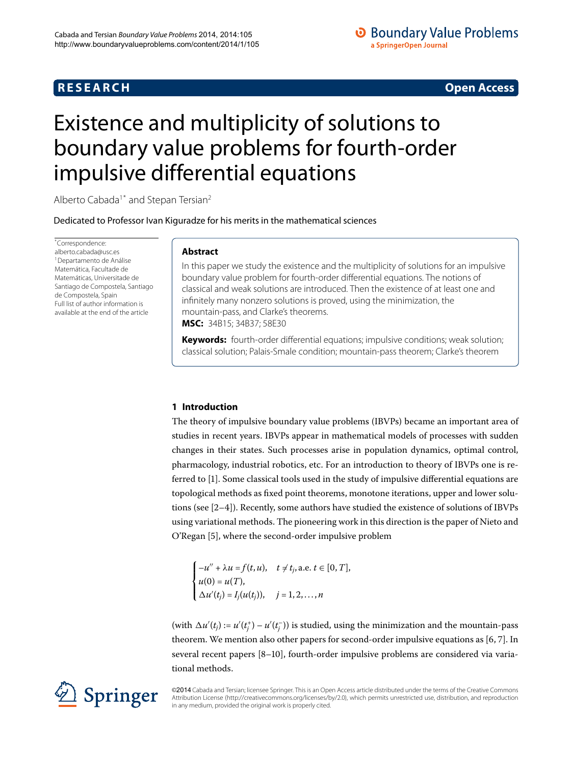# **R E S E A R C H Open Access**

# **O** Boundary Value Problems a SpringerOpen Journal

# <span id="page-0-0"></span>Existence and multiplicity of solutions to boundary value problems for fourth-order impulsive differential equations

Alberto Cabada<sup>1[\\*](#page-0-0)</sup> and Stepan Tersian<sup>2</sup>

Dedicated to Professor Ivan Kiguradze for his merits in the mathematical sciences

\* Correspondence: [alberto.cabada@usc.es](mailto:alberto.cabada@usc.es) <sup>1</sup> Departamento de Análise Matemática, Facultade de Matemáticas, Universitade de Santiago de Compostela, Santiago de Compostela, Spain Full list of author information is available at the end of the article

# **Abstract**

In this paper we study the existence and the multiplicity of solutions for an impulsive boundary value problem for fourth-order differential equations. The notions of classical and weak solutions are introduced. Then the existence of at least one and infinitely many nonzero solutions is proved, using the minimization, the mountain-pass, and Clarke's theorems. **MSC:** 34B15; 34B37; 58E30

**Keywords:** fourth-order differential equations; impulsive conditions; weak solution; classical solution; Palais-Smale condition; mountain-pass theorem; Clarke's theorem

# **1 Introduction**

The theory of impulsive boundary value problems (IBVPs) became an important area of studies in recent years. IBVPs appear in mathematical models of processes with sudden changes in their states. Such processes arise in population dynamics, optimal control, pharmacology, industrial robotics, etc. For an introduction to theory of IBVPs one is referred to [\[](#page-11-2)]. Some classical tools used in the study of impulsive differential equations are topological methods as fixed point theorems, monotone iterations, upper and lower solutions (see  $[2-4]$  $[2-4]$ ). Recently, some authors have studied the existence of solutions of IBVPs using variational methods. The pioneering work in this direction is the paper of Nieto and O'Regan [5[\]](#page-11-5), where the second-order impulsive problem

 $\sqrt{ }$  $\int$  $\mathbf{I}$  $-u'' + \lambda u = f(t, u), \quad t \neq t_j, \text{a.e. } t \in [0, T],$  $u(0) = u(T)$ ,  $\Delta u'(t_j) = I_j(u(t_j)), \quad j = 1, 2, ..., n$ 

(with  $\Delta u'(t_j) := u'(t_j^+) - u'(t_j^-)$ ) is studied, using the minimization and the mountain-pass theorem. We mention also other papers for second-order impulsive equations as  $[6, 7]$  $[6, 7]$ . In several recent papers  $[8-10]$ , fourth-order impulsive problems are considered via variational methods.

©2014 Cabada and Tersian; licensee Springer. This is an Open Access article distributed under the terms of the Creative Commons Attribution License [\(http://creativecommons.org/licenses/by/2.0](http://creativecommons.org/licenses/by/2.0)), which permits unrestricted use, distribution, and reproduction in any medium, provided the original work is properly cited.

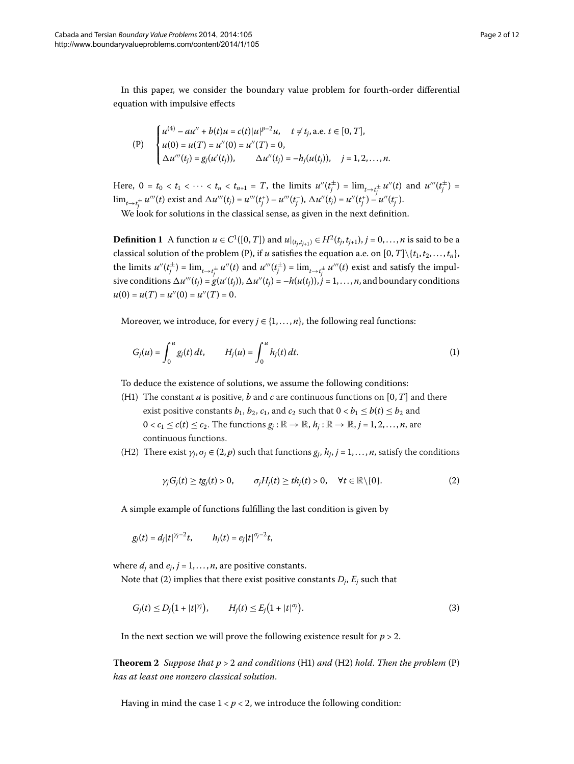In this paper, we consider the boundary value problem for fourth-order differential equation with impulsive effects

$$
\text{(P)} \quad\n\begin{cases}\nu^{(4)} - au'' + b(t)u = c(t)|u|^{p-2}u, & t \neq t_j, \text{ a.e. } t \in [0, T], \\
u(0) = u(T) = u''(0) = u''(T) = 0, \\
\Delta u'''(t_j) = g_j(u'(t_j)), & \Delta u''(t_j) = -h_j(u(t_j)), \quad j = 1, 2, \dots, n.\n\end{cases}
$$

Here,  $0 = t_0 < t_1 < \cdots < t_n < t_{n+1} = T$ , the limits  $u''(t_j^{\pm}) = \lim_{t \to t_j^{\pm}} u''(t)$  and  $u'''(t_j^{\pm}) =$  $\lim_{t\to t_j^{\pm}} u'''(t)$  exist and  $\Delta u'''(t_j) = u'''(t_j^+) - u'''(t_j^-)$ ,  $\Delta u''(t_j) = u''(t_j^+) - u''(t_j^-)$ .

We look for solutions in the classical sense, as given in the next definition.

**Definition 1** A function  $u \in C^1([0, T])$  and  $u|_{(t_j,t_{j+1})} \in H^2(t_j,t_{j+1}), j = 0,\ldots,n$  is said to be a classical solution of the problem (P), if *u* satisfies the equation a.e. on  $[0, T] \setminus \{t_1, t_2, \ldots, t_n\}$ , the limits  $u''(t_j^{\pm}) = \lim_{t \to t_j^{\pm}} u''(t)$  and  $u'''(t_j^{\pm}) = \lim_{t \to t_j^{\pm}} u'''(t)$  exist and satisfy the impulsive conditions  $\Delta u'''(t_j) = g(u'(t_j))$ ,  $\Delta u''(t_j) = -h(u(t_j))$ ,  $j = 1, \ldots, n$ , and boundary conditions  $u(0) = u(T) = u''(0) = u''(T) = 0.$ 

Moreover, we introduce, for every  $j \in \{1, \ldots, n\}$ , the following real functions:

$$
G_j(u) = \int_0^u g_j(t) dt, \qquad H_j(u) = \int_0^u h_j(t) dt.
$$
 (1)

To deduce the existence of solutions, we assume the following conditions:

- (H1) The constant *a* is positive, *b* and *c* are continuous functions on [0, *T*] and there exist positive constants  $b_1$ ,  $b_2$ ,  $c_1$ , and  $c_2$  such that  $0 < b_1 \leq b(t) \leq b_2$  and  $0 < c_1 \leq c(t) \leq c_2$ . The functions  $g_i : \mathbb{R} \to \mathbb{R}$ ,  $h_i : \mathbb{R} \to \mathbb{R}$ ,  $j = 1, 2, ..., n$ , are continuous functions.
- (H2) There exist  $\gamma_i$ ,  $\sigma_j \in (2, p)$  such that functions  $g_i$ ,  $h_i$ ,  $j = 1, \ldots, n$ , satisfy the conditions

<span id="page-1-1"></span><span id="page-1-0"></span>
$$
\gamma_j G_j(t) \geq t g_j(t) > 0, \qquad \sigma_j H_j(t) \geq t h_j(t) > 0, \quad \forall t \in \mathbb{R} \setminus \{0\}. \tag{2}
$$

A simple example of functions fulfilling the last condition is given by

$$
g_j(t) = d_j|t|^{\gamma_j - 2}t
$$
,  $h_j(t) = e_j|t|^{\sigma_j - 2}t$ ,

<span id="page-1-2"></span>where  $d_i$  and  $e_i$ ,  $j = 1, \ldots, n$ , are positive constants.

Note that (2[\)](#page-1-0) implies that there exist positive constants  $D_j$ ,  $E_j$  such that

$$
G_j(t) \le D_j(1+|t|^{\gamma_j}), \qquad H_j(t) \le E_j(1+|t|^{\sigma_j}). \tag{3}
$$

In the next section we will prove the following existence result for  $p > 2$ .

**Theorem 2** Suppose that  $p > 2$  and conditions (H1) and (H2) hold. Then the problem (P) *has at least one nonzero classical solution*.

Having in mind the case  $1 < p < 2$ , we introduce the following condition: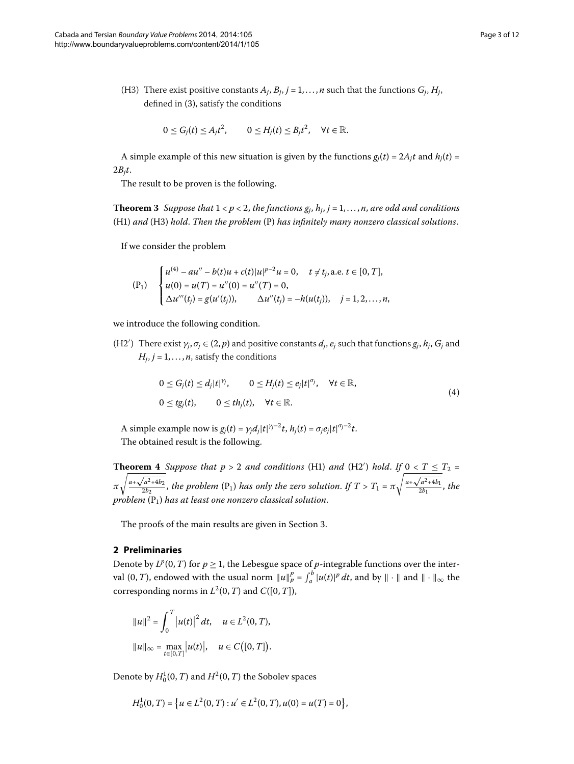<span id="page-2-0"></span>(H3) There exist positive constants  $A_j$ ,  $B_j$ ,  $j = 1, \ldots, n$  such that the functions  $G_j$ ,  $H_j$ , defined in (3[\)](#page-1-1), satisfy the conditions

$$
0 \le G_j(t) \le A_j t^2, \qquad 0 \le H_j(t) \le B_j t^2, \quad \forall t \in \mathbb{R}.
$$

A simple example of this new situation is given by the functions  $g_i(t) = 2A_i t$  and  $h_i(t) =$  $2B_i t$ .

The result to be proven is the following.

**Theorem 3** *Suppose that*  $1 < p < 2$ *, the functions*  $g_i$ *,*  $h_i$ *,*  $j = 1, ..., n$ *, are odd and conditions* (H) *and* (H) *hold*. *Then the problem* (P) *has infinitely many nonzero classical solutions*.

If we consider the problem

$$
\begin{aligned} \text{(P1)} \quad & \begin{cases} u^{(4)} - au'' - b(t)u + c(t)|u|^{p-2}u = 0, \quad t \neq t_j, \text{ a.e. } t \in [0, T], \\ u(0) = u(T) = u''(0) = u''(T) = 0, \\ \Delta u'''(t_j) = g(u'(t_j)), \quad \Delta u''(t_j) = -h(u(t_j)), \quad j = 1, 2, \dots, n, \end{cases} \end{aligned}
$$

we introduce the following condition.

<span id="page-2-1"></span>(H2') There exist  $γ_j$ ,  $σ_j \in (2, p)$  and positive constants  $d_j$ ,  $e_j$  such that functions  $g_j$ ,  $h_j$ ,  $G_j$  and  $H_j$ ,  $j = 1, \ldots, n$ , satisfy the conditions

$$
0 \le G_j(t) \le d_j|t|^{\gamma_j}, \qquad 0 \le H_j(t) \le e_j|t|^{\sigma_j}, \quad \forall t \in \mathbb{R},
$$
  
\n
$$
0 \le tg_j(t), \qquad 0 \le th_j(t), \quad \forall t \in \mathbb{R}.
$$
  
\n(4)

A simple example now is  $g_j(t) = \gamma_j d_j |t|^{\gamma_j - 2} t$ ,  $h_j(t) = \sigma_j e_j |t|^{\sigma_j - 2} t$ . The obtained result is the following.

**Theorem 4** Suppose that  $p > 2$  and conditions (H1) and (H2') hold. If  $0 < T \leq T_2 = 1$ *π*  $a + \sqrt{a^2 + 4b^2}$  $\frac{a^2 + b^2}{2b_2}$ , the problem (P<sub>1</sub>) has only the zero solution. If  $T > T_1 = \pi$  $\sqrt{a^2 + 4b}$  $\frac{a^2+4b^2}{2b^2}$ , the *problem* (P) *has at least one nonzero classical solution*.

The proofs of the main results are given in Section 3[.](#page-5-0)

## **2 Preliminaries**

Denote by  $L^p(0,T)$  for  $p \geq 1$ , the Lebesgue space of *p*-integrable functions over the interval  $(0, T)$ , endowed with the usual norm  $||u||_p^p = \int_a^b |u(t)|^p dt$ , and by  $||\cdot||$  and  $||\cdot||_\infty$  the corresponding norms in  $L^2(0,T)$  and  $C([0,T])$ ,

$$
||u||^{2} = \int_{0}^{T} |u(t)|^{2} dt, \quad u \in L^{2}(0, T),
$$
  

$$
||u||_{\infty} = \max_{t \in [0, T]} |u(t)|, \quad u \in C([0, T]).
$$

Denote by  $H_0^1(0,T)$  and  $H^2(0,T)$  the Sobolev spaces

$$
H_0^1(0,T) = \big\{ u \in L^2(0,T) : u' \in L^2(0,T), u(0) = u(T) = 0 \big\},\
$$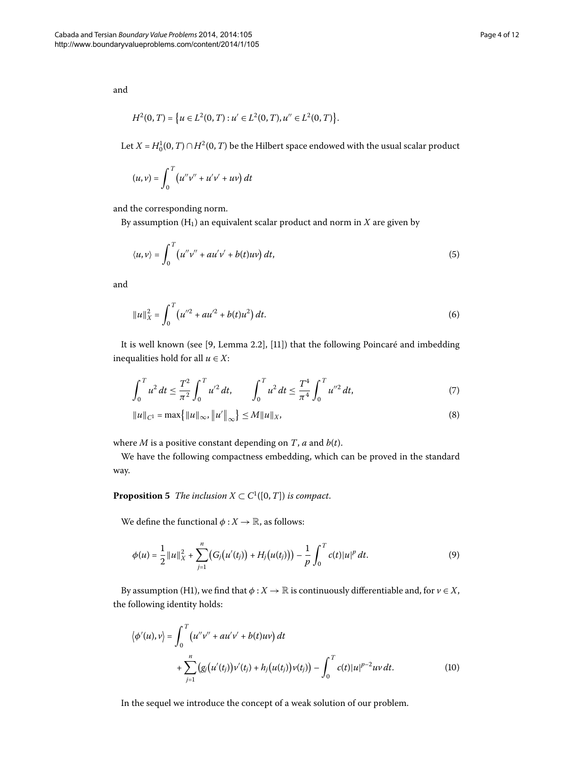and

$$
H^2(0,T) = \left\{ u \in L^2(0,T) : u' \in L^2(0,T), u'' \in L^2(0,T) \right\}.
$$

Let  $X = H_0^1(0,T) \cap H^2(0,T)$  be the Hilbert space endowed with the usual scalar product

$$
(u, v) = \int_0^T (u''v'' + u'v' + uv) dt
$$

and the corresponding norm.

By assumption  $(H_1)$  an equivalent scalar product and norm in  $X$  are given by

$$
\langle u, v \rangle = \int_0^T \left( u''v'' + au'v' + b(t)uv \right) dt, \tag{5}
$$

and

<span id="page-3-1"></span><span id="page-3-0"></span>
$$
||u||_X^2 = \int_0^T \left( u''^2 + au'^2 + b(t)u^2 \right) dt. \tag{6}
$$

It is well known (see [\[](#page-11-10)9, Lemma 2.2[\]](#page-11-11), [11]) that the following Poincaré and imbedding inequalities hold for all  $u \in X$ :

$$
\int_0^T u^2 dt \le \frac{T^2}{\pi^2} \int_0^T u'^2 dt, \qquad \int_0^T u^2 dt \le \frac{T^4}{\pi^4} \int_0^T u''^2 dt, \tag{7}
$$

$$
||u||_{C^{1}} = \max\{|u||_{\infty}, ||u'||_{\infty}\} \le M||u||_{X},
$$
\n(8)

where *M* is a positive constant depending on *T*, *a* and *b*(*t*).

We have the following compactness embedding, which can be proved in the standard way.

**Proposition 5** The inclusion  $X \subset C^1([0, T])$  is compact.

We define the functional  $\phi: X \to \mathbb{R}$ , as follows:

$$
\phi(u) = \frac{1}{2} ||u||_X^2 + \sum_{j=1}^n (G_j(u'(t_j)) + H_j(u(t_j))) - \frac{1}{p} \int_0^T c(t) ||u|^p dt.
$$
\n(9)

By assumption (H1), we find that  $\phi: X \to \mathbb{R}$  is continuously differentiable and, for  $v \in X$ , the following identity holds:

$$
\langle \phi'(u), v \rangle = \int_0^T (u''v'' + au'v' + b(t)uv) dt + \sum_{j=1}^n (g_j(u'(t_j))v'(t_j) + h_j(u(t_j))v(t_j)) - \int_0^T c(t) |u|^{p-2}uv dt.
$$
 (10)

In the sequel we introduce the concept of a weak solution of our problem.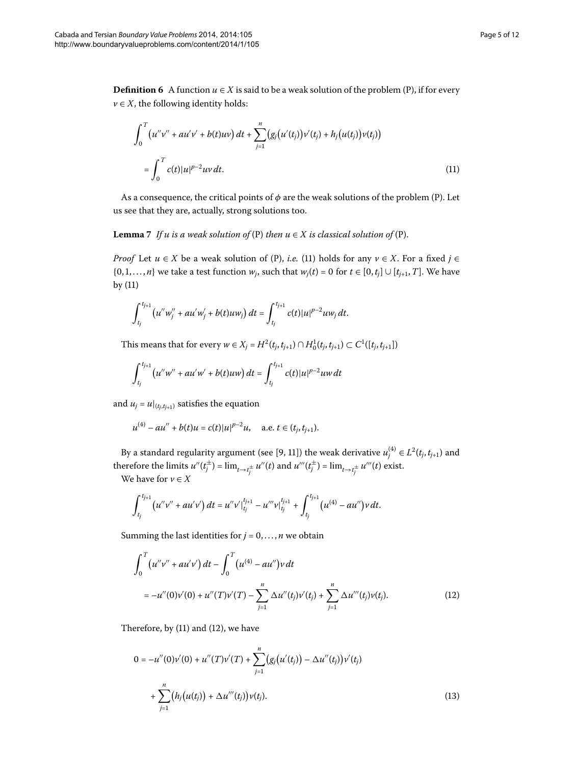**Definition 6** A function  $u \in X$  is said to be a weak solution of the problem (P), if for every  $v \in X$ , the following identity holds:

<span id="page-4-2"></span><span id="page-4-0"></span>
$$
\int_0^T \left( u''v'' + au'v' + b(t)uv \right) dt + \sum_{j=1}^n \left( g_j(u'(t_j))v'(t_j) + h_j(u(t_j))v(t_j) \right)
$$
  
= 
$$
\int_0^T c(t) |u|^{p-2} uv dt.
$$
 (11)

As a consequence, the critical points of  $\phi$  are the weak solutions of the problem (P). Let us see that they are, actually, strong solutions too.

**Lemma**  $\overline{I}$  *If u is a weak solution of* (P) *then*  $u \in X$  *is classical solution of* (P).

*Proof* Let  $u \in X$  be a weak solution of [\(](#page-4-0)P), *i.e.* (11) holds for any  $v \in X$ . For a fixed  $j \in Y$  $\{0, 1, \ldots, n\}$  we take a test function  $w_i$ , such that  $w_i(t) = 0$  for  $t \in [0, t_i] \cup [t_{i+1}, T]$ . We have by  $(11)$  $(11)$ 

$$
\int_{t_j}^{t_{j+1}} \left( u''w_j'' + au'w_j' + b(t)uw_j \right) dt = \int_{t_j}^{t_{j+1}} c(t) |u|^{p-2}uw_j dt.
$$

This means that for every *w* ∈ *X<sub>j</sub>* = *H*<sup>2</sup>(*t<sub>j</sub>*,*t<sub>j+1</sub>*) ∩ *H*<sub>0</sub><sup>1</sup>(*t<sub>j</sub>*,*t<sub>j+1</sub>*) ⊂ *C*<sup>1</sup>([*t<sub>j</sub>*,*t<sub>j+1</sub>*])

$$
\int_{t_j}^{t_{j+1}} \left( u''w'' + au'w' + b(t)uw \right) dt = \int_{t_j}^{t_{j+1}} c(t) |u|^{p-2}uw \, dt
$$

and  $u_j = u|_{(t_j,t_{j+1})}$  satisfies the equation

$$
u^{(4)} - au'' + b(t)u = c(t)|u|^{p-2}u, \quad \text{a.e. } t \in (t_j, t_{j+1}).
$$

By a standard regularity argument (see [\[](#page-11-10)9, 11]) the weak derivative  $u_j^{(4)} \in L^2(t_j,t_{j+1})$  and therefore the limits  $u''(t_j^{\pm}) = \lim_{t \to t_j^{\pm}} u''(t)$  and  $u'''(t_j^{\pm}) = \lim_{t \to t_j^{\pm}} u'''(t)$  exist.

We have for  $v \in X$ 

<span id="page-4-1"></span>
$$
\int_{t_j}^{t_{j+1}} \left( u''v'' + au'v' \right) dt = u''v'\big|_{t_j}^{t_{j+1}} - u'''v\big|_{t_j}^{t_{j+1}} + \int_{t_j}^{t_{j+1}} \left( u^{(4)} - au'' \right) v dt.
$$

Summing the last identities for  $j = 0, \ldots, n$  we obtain

$$
\int_0^T (u''v'' + au'v') dt - \int_0^T (u^{(4)} - au'')v dt
$$
  
=  $-u''(0)v'(0) + u''(T)v'(T) - \sum_{j=1}^n \Delta u''(t_j)v'(t_j) + \sum_{j=1}^n \Delta u'''(t_j)v(t_j).$  (12)

Therefore, by  $(11)$  $(11)$  and  $(12)$ , we have

$$
0 = -u''(0)\nu'(0) + u''(T)\nu'(T) + \sum_{j=1}^{n} (g_j(u'(t_j)) - \Delta u''(t_j))\nu'(t_j)
$$
  
+ 
$$
\sum_{j=1}^{n} (h_j(u(t_j)) + \Delta u'''(t_j))\nu(t_j).
$$
 (13)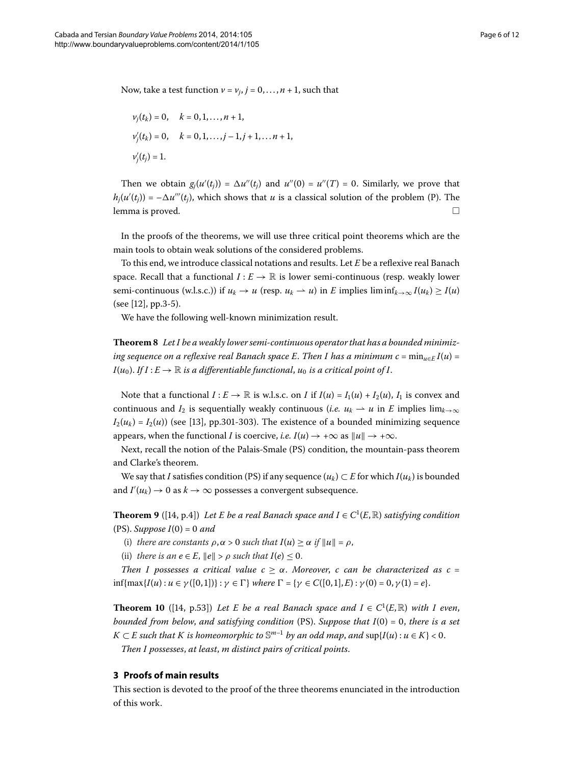Now, take a test function  $v = v_i$ ,  $j = 0, \ldots, n + 1$ , such that

$$
v_j(t_k) = 0, \quad k = 0, 1, ..., n + 1,
$$
  
\n $v'_j(t_k) = 0, \quad k = 0, 1, ..., j - 1, j + 1, ..., n + 1,$   
\n $v'_j(t_j) = 1.$ 

Then we obtain  $g_j(u'(t_j)) = \Delta u''(t_j)$  and  $u''(0) = u''(T) = 0$ . Similarly, we prove that  $h_j(u'(t_j)) = -\Delta u'''(t_j)$ , which shows that  $u$  is a classical solution of the problem (P). The lemma is proved.  $\Box$ 

In the proofs of the theorems, we will use three critical point theorems which are the main tools to obtain weak solutions of the considered problems.

<span id="page-5-3"></span>To this end, we introduce classical notations and results. Let *E* be a reflexive real Banach space. Recall that a functional  $I : E \to \mathbb{R}$  is lower semi-continuous (resp. weakly lower semi-continuous (w.l.s.c.)) if  $u_k \to u$  (resp.  $u_k \to u$ ) in *E* implies liminf $k \to \infty$   $I(u_k) \ge I(u)$  $(see [12], pp.3-5).$  $(see [12], pp.3-5).$  $(see [12], pp.3-5).$ 

We have the following well-known minimization result.

**Theorem**  *Let I be a weakly lower semi-continuous operator that has a bounded minimizing sequence on a reflexive real Banach space E. Then I has a minimum c* =  $\min_{u \in E} I(u)$  =  $I(u_0)$ . *If*  $I: E \to \mathbb{R}$  *is a differentiable functional,*  $u_0$  *is a critical point of I.* 

Note that a functional  $I: E \to \mathbb{R}$  is w.l.s.c. on *I* if  $I(u) = I_1(u) + I_2(u)$ ,  $I_1$  is convex and continuous and *I*<sub>2</sub> is sequentially weakly continuous (*i.e.*  $u_k \rightharpoonup u$  in *E* implies lim<sub>*k*→∞</sub>  $I_2(u_k) = I_2(u)$ ) (see [\[](#page-11-13)13], pp.301-303). The existence of a bounded minimizing sequence appears, when the functional *I* is coercive, *i.e.*  $I(u) \rightarrow +\infty$  as  $||u|| \rightarrow +\infty$ .

<span id="page-5-1"></span>Next, recall the notion of the Palais-Smale (PS) condition, the mountain-pass theorem and Clarke's theorem.

We say that *I* satisfies condition (PS) if any sequence  $(u_k) \subset E$  for which  $I(u_k)$  is bounded and  $I'(u_k) \to 0$  as  $k \to \infty$  possesses a convergent subsequence.

**Theorem 9** ([\[](#page-11-14)14, p.4]) *Let E be a real Banach space and*  $I \in C^1(E, \mathbb{R})$  *satisfying condition*  $(PS)$ *. Suppose*  $I(0) = 0$  and

- <span id="page-5-2"></span>(i) *there are constants*  $\rho, \alpha > 0$  *such that*  $I(u) \ge \alpha$  *if*  $||u|| = \rho$ ,
- (ii) *there is an*  $e \in E$ ,  $||e|| > \rho$  *such that*  $I(e) \leq 0$ .

*Then I possesses a critical value*  $c \geq \alpha$ *. Moreover, c can be characterized as c =*  $\inf{\max{I(u) : u \in \gamma([0,1])}: \gamma \in \Gamma}$  *where*  $\Gamma = \{\gamma \in C([0,1], E): \gamma(0) = 0, \gamma(1) = e\}.$ 

<span id="page-5-0"></span>**Theorem 10** ([14, p.53]) Let E be a real Banach space and  $I \in C^1(E, \mathbb{R})$  with I even, *bounded from below, and satisfying condition* (PS). *Suppose that*  $I(0) = 0$ *, there is a set K* ⊂ *E* such that *K* is homeomorphic to  $\mathbb{S}^{m-1}$  by an odd map, and sup{*I*(*u*) : *u* ∈ *K*} < 0.

*Then I possesses*, *at least*, *m distinct pairs of critical points*.

# **3 Proofs of main results**

This section is devoted to the proof of the three theorems enunciated in the introduction of this work.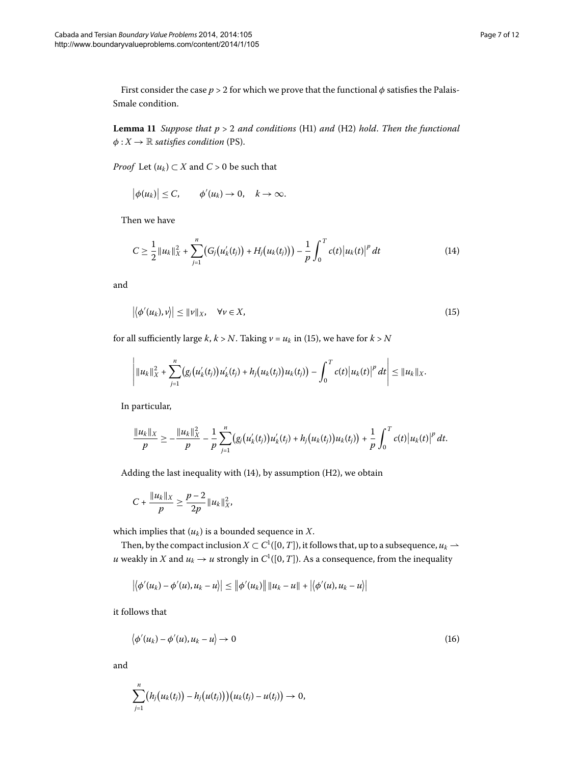<span id="page-6-3"></span>First consider the case  $p > 2$  for which we prove that the functional  $\phi$  satisfies the Palais-Smale condition.

**Lemma 11** Suppose that  $p > 2$  and conditions (H1) and (H2) hold. Then the functional  $\phi: X \to \mathbb{R}$  *satisfies condition* (PS).

*Proof* Let  $(u_k) \subset X$  and  $C > 0$  be such that

<span id="page-6-1"></span> $|\phi(u_k)| \leq C$ ,  $\phi'(u_k) \to 0$ ,  $k \to \infty$ .

Then we have

<span id="page-6-0"></span>
$$
C \geq \frac{1}{2} ||u_k||_X^2 + \sum_{j=1}^n (G_j(u'_k(t_j)) + H_j(u_k(t_j))) - \frac{1}{p} \int_0^T c(t) |u_k(t)|^p dt \qquad (14)
$$

and

$$
\left| \left\langle \phi'(u_k), \nu \right\rangle \right| \leq ||\nu||_X, \quad \forall \nu \in X,
$$
\n(15)

for all sufficiently large  $k$ ,  $k > N$ . Taking  $v = u_k$  in (15[\)](#page-6-0), we have for  $k > N$ 

$$
\left|\|u_k\|_{X}^2+\sum_{j=1}^n\big(g_j\big(u_k'(t_j)\big)u_k'(t_j)+h_j\big(u_k(t_j)\big)u_k(t_j)\big)-\int_0^Tc(t)\big|u_k(t)\big|^p\,dt\right|\leq \|u_k\|_{X}.
$$

In particular,

$$
\frac{\|u_k\|_X}{p} \geq -\frac{\|u_k\|_X^2}{p} - \frac{1}{p} \sum_{j=1}^n (g_j(u'_k(t_j))u'_k(t_j) + h_j(u_k(t_j))u_k(t_j)) + \frac{1}{p} \int_0^T c(t) |u_k(t)|^p dt.
$$

Adding the last inequality with  $(14)$  $(14)$ , by assumption  $(H2)$ , we obtain

$$
C + \frac{\|u_k\|_X}{p} \ge \frac{p-2}{2p} \|u_k\|_X^2,
$$

which implies that  $(u_k)$  is a bounded sequence in *X*.

Then, by the compact inclusion  $X \subset C^1([0,T])$ , it follows that, up to a subsequence,  $u_k \rightharpoonup$ *u* weakly in *X* and  $u_k \to u$  strongly in  $C^1([0, T])$ . As a consequence, from the inequality

<span id="page-6-2"></span>
$$
|\langle \phi'(u_k) - \phi'(u), u_k - u \rangle| \le ||\phi'(u_k)|| ||u_k - u|| + |\langle \phi'(u), u_k - u \rangle||
$$

it follows that

$$
\langle \phi'(u_k) - \phi'(u), u_k - u \rangle \to 0 \tag{16}
$$

and

$$
\sum_{j=1}^n (h_j(u_k(t_j))-h_j(u(t_j)))(u_k(t_j)-u(t_j))\to 0,
$$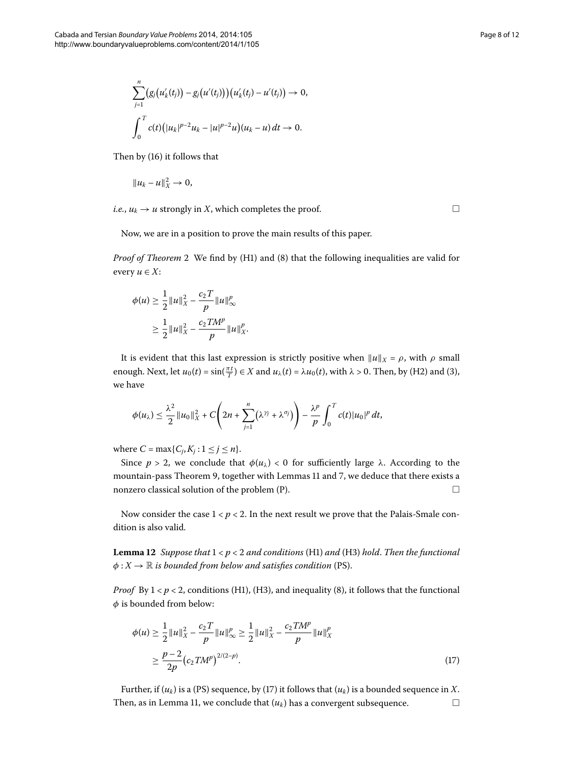$$
\sum_{j=1}^n (g_j(u'_k(t_j)) - g_j(u'(t_j)))(u'_k(t_j) - u'(t_j)) \to 0,
$$
  

$$
\int_0^T c(t) (|u_k|^{p-2}u_k - |u|^{p-2}u)(u_k - u) dt \to 0.
$$

Then by  $(16)$  $(16)$  it follows that

$$
||u_k - u||_X^2 \to 0,
$$

*i.e.*,  $u_k \rightarrow u$  strongly in *X*, which completes the proof.  $\Box$ 

Now, we are in a position to prove the main results of this paper.

*Proof of Theorem* 2 We find by [\(](#page-3-0)H1) and (8) that the following inequalities are valid for every  $u \in X$ :

$$
\phi(u) \ge \frac{1}{2} ||u||_X^2 - \frac{c_2 T}{p} ||u||_{\infty}^p
$$
  

$$
\ge \frac{1}{2} ||u||_X^2 - \frac{c_2 TM^p}{p} ||u||_X^p.
$$

It is evident that this last expression is strictly positive when  $||u||_X = \rho$ , with  $\rho$  small enough. Next, let  $u_0(t) = \sin(\frac{\pi t}{T}) \in X$  $u_0(t) = \sin(\frac{\pi t}{T}) \in X$  $u_0(t) = \sin(\frac{\pi t}{T}) \in X$  and  $u_\lambda(t) = \lambda u_0(t)$ , with  $\lambda > 0$ . Then, by (H2) and (3), we have

$$
\phi(u_\lambda)\leq \frac{\lambda^2}{2}||u_0||_X^2+C\left(2n+\sum_{j=1}^n(\lambda^{\gamma_j}+\lambda^{\sigma_j})\right)-\frac{\lambda^p}{p}\int_0^Tc(t)|u_0|^p dt,
$$

where  $C = \max\{C_j, K_j : 1 \le j \le n\}.$ 

<span id="page-7-1"></span>Since *p* > 2, we conclude that  $φ(u<sub>\lambda</sub>) < 0$  for sufficiently large  $λ$ . According to the mountain-pass Theorem 9[,](#page-4-2) together with Lemmas 11 and 7, we deduce that there exists a nonzero classical solution of the problem  $(P)$ .  $\Box$ 

Now consider the case  $1 < p < 2$ . In the next result we prove that the Palais-Smale condition is also valid.

<span id="page-7-0"></span>**Lemma 12** Suppose that  $1 < p < 2$  and conditions (H1) and (H3) hold. Then the functional  $\phi: X \to \mathbb{R}$  *is bounded from below and satisfies condition* (PS).

*Proof* By  $1 < p < 2$ , conditions [\(](#page-3-0)H1), (H3), and inequality (8), it follows that the functional *φ* is bounded from below:

$$
\phi(u) \ge \frac{1}{2} ||u||_X^2 - \frac{c_2 T}{p} ||u||_{\infty}^p \ge \frac{1}{2} ||u||_X^2 - \frac{c_2 TM^p}{p} ||u||_X^p
$$
  

$$
\ge \frac{p-2}{2p} (c_2 TM^p)^{2/(2-p)}.
$$
 (17)

Further, if  $(u_k)$  $(u_k)$  is a (PS) sequence, by (17) it follows that  $(u_k)$  is a bounded sequence in *X*. Then, as in Lemma 11, we conclude that  $(u_k)$  has a convergent subsequence.  $\Box$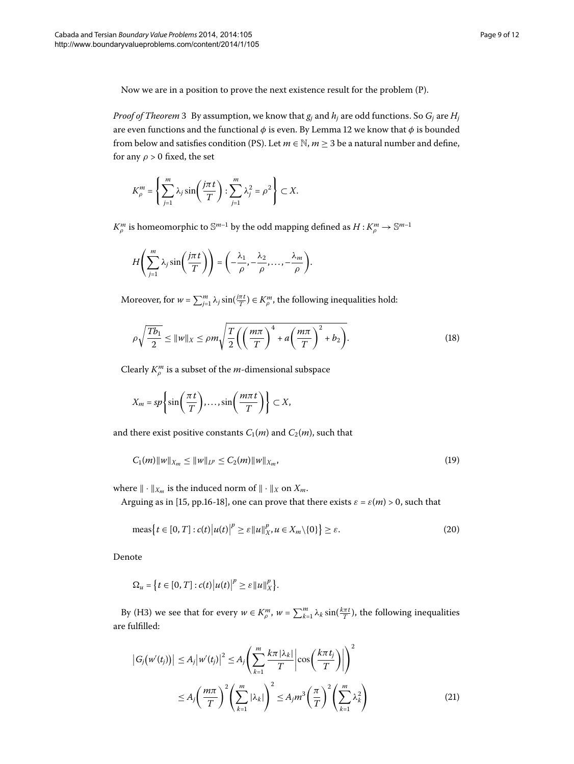Now we are in a position to prove the next existence result for the problem (P).

*Proof of Theorem* 3 By assumption, we know that  $g_j$  and  $h_j$  are odd functions. So  $G_j$  are  $H_j$ are even functions and the functional  $\phi$  is even. By Lemma 12 we know that  $\phi$  is bounded from below and satisfies condition (PS). Let  $m \in \mathbb{N}$ ,  $m \geq 3$  be a natural number and define, for any  $\rho > 0$  fixed, the set

$$
K_{\rho}^{m} = \left\{ \sum_{j=1}^{m} \lambda_{j} \sin\left(\frac{j\pi t}{T}\right) : \sum_{j=1}^{m} \lambda_{j}^{2} = \rho^{2} \right\} \subset X.
$$

 $K_\rho^m$  is homeomorphic to  $\mathbb{S}^{m-1}$  by the odd mapping defined as  $H$  :  $K_\rho^m\to \mathbb{S}^{m-1}$ 

<span id="page-8-0"></span>
$$
H\left(\sum_{j=1}^m \lambda_j \sin\left(\frac{j\pi t}{T}\right)\right) = \left(-\frac{\lambda_1}{\rho}, -\frac{\lambda_2}{\rho}, \dots, -\frac{\lambda_m}{\rho}\right).
$$

Moreover, for  $w = \sum_{j=1}^{m} \lambda_j \sin(\frac{j\pi t}{T}) \in K^m_\rho$ , the following inequalities hold:

$$
\rho \sqrt{\frac{Tb_1}{2}} \le ||w||_X \le \rho m \sqrt{\frac{T}{2} \left( \left( \frac{m\pi}{T} \right)^4 + a \left( \frac{m\pi}{T} \right)^2 + b_2 \right)}.
$$
\n(18)

Clearly  $K_\rho^m$  is a subset of the *m*-dimensional subspace

$$
X_m = sp\left\{\sin\left(\frac{\pi t}{T}\right), \dots, \sin\left(\frac{m\pi t}{T}\right)\right\} \subset X,
$$

and there exist positive constants  $C_1(m)$  and  $C_2(m)$ , such that

$$
C_1(m)\|w\|_{X_m} \le \|w\|_{L^p} \le C_2(m)\|w\|_{X_m},\tag{19}
$$

where  $\|\cdot\|_{X_m}$  is the induced norm of  $\|\cdot\|_X$  on  $X_m$ .

Arguing as in [\[](#page-11-15)15, pp.16-18], one can prove that there exists  $\varepsilon = \varepsilon(m) > 0$ , such that

$$
\operatorname{meas}\left\{t\in[0,T]:c(t)\big|u(t)\big|^p\geq\varepsilon\|u\|_{X}^p, u\in X_m\setminus\{0\}\right\}\geq\varepsilon.\tag{20}
$$

<span id="page-8-1"></span>Denote

$$
\Omega_u = \left\{ t \in [0, T] : c(t) \big| u(t) \big|^p \geq \varepsilon ||u||_X^p \right\}.
$$

By (H3) we see that for every  $w \in K^m_\rho$ ,  $w = \sum_{k=1}^m \lambda_k \sin(\frac{k\pi t}{T})$ , the following inequalities are fulfilled:

$$
\left| G_j(w'(t_j)) \right| \le A_j \left| w'(t_j) \right|^2 \le A_j \left( \sum_{k=1}^m \frac{k \pi |\lambda_k|}{T} \left| \cos \left( \frac{k \pi t_j}{T} \right) \right| \right)^2
$$
  

$$
\le A_j \left( \frac{m \pi}{T} \right)^2 \left( \sum_{k=1}^m |\lambda_k| \right)^2 \le A_j m^3 \left( \frac{\pi}{T} \right)^2 \left( \sum_{k=1}^m \lambda_k^2 \right)
$$
 (21)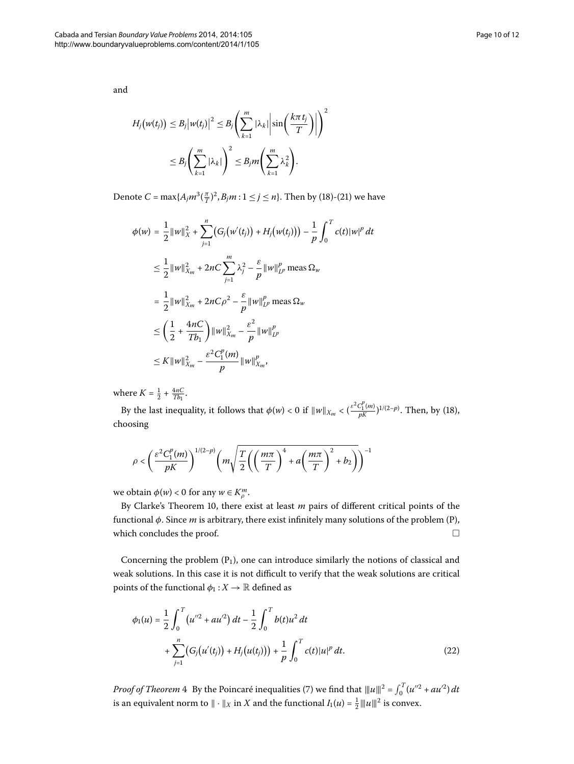$H_j(w(t_j)) \leq B_j \big| w(t_j) \big|^2 \leq B_j \Bigg( \sum_{i=1}^m$ *k*= |*λk*|  $\sin\left(\frac{k\pi t_j}{T}\right)$  $\Big) \Big|$  $\setminus^2$ ≤ *Bj*  $\left(\sum_{i=1}^{m}$ *k*= |*λk*|  $\setminus^2$ ≤ *Bjm*  $\left(\sum_{i=1}^{m}$ *k*= *λ k*  $\setminus$ .

Denote  $C = \max\{A_j m^3(\frac{\pi}{T})^2, B_j m : 1 \le j \le n\}$  $C = \max\{A_j m^3(\frac{\pi}{T})^2, B_j m : 1 \le j \le n\}$  $C = \max\{A_j m^3(\frac{\pi}{T})^2, B_j m : 1 \le j \le n\}$ . Then by (18)-(21) we have

$$
\phi(w) = \frac{1}{2} ||w||_{X}^{2} + \sum_{j=1}^{n} (G_{j}(w'(t_{j})) + H_{j}(w(t_{j}))) - \frac{1}{p} \int_{0}^{T} c(t) ||w|^{p} dt
$$
  
\n
$$
\leq \frac{1}{2} ||w||_{X_{m}}^{2} + 2nC \sum_{j=1}^{m} \lambda_{j}^{2} - \frac{\varepsilon}{p} ||w||_{L^{p}}^{p} \text{ meas } \Omega_{w}
$$
  
\n
$$
= \frac{1}{2} ||w||_{X_{m}}^{2} + 2nC\rho^{2} - \frac{\varepsilon}{p} ||w||_{L^{p}}^{p} \text{ meas } \Omega_{w}
$$
  
\n
$$
\leq \left(\frac{1}{2} + \frac{4nC}{Tb_{1}}\right) ||w||_{X_{m}}^{2} - \frac{\varepsilon^{2}}{p} ||w||_{L^{p}}^{p}
$$
  
\n
$$
\leq K ||w||_{X_{m}}^{2} - \frac{\varepsilon^{2}C_{1}^{p}(m)}{p} ||w||_{X_{m}}^{p},
$$

where  $K = \frac{1}{2} + \frac{4nC}{Tb_1}$ .

By the last inequality, it follows that  $\phi(w) < 0$  $\phi(w) < 0$  $\phi(w) < 0$  if  $||w||_{X_m} < (\frac{\varepsilon^2 C_1^p(m)}{pK})^{1/(2-p)}$ . Then, by (18), choosing

$$
\rho<\left(\frac{\varepsilon^2C_1^p(m)}{pK}\right)^{1/(2-p)}\left(m\sqrt{\frac{T}{2}\left(\left(\frac{m\pi}{T}\right)^4+a\left(\frac{m\pi}{T}\right)^2+b_2\right)}\right)^{-1}
$$

we obtain  $\phi(w) < 0$  for any  $w \in K_p^m$ .

By Clarke's Theorem 10, there exist at least *m* pairs of different critical points of the functional *φ*. Since *m* is arbitrary, there exist infinitely many solutions of the problem (P), which concludes the proof.  $\Box$ 

Concerning the problem  $(P_1)$ , one can introduce similarly the notions of classical and weak solutions. In this case it is not difficult to verify that the weak solutions are critical points of the functional  $\phi_1 : X \to \mathbb{R}$  defined as

$$
\phi_1(u) = \frac{1}{2} \int_0^T \left( u''^2 + au'^2 \right) dt - \frac{1}{2} \int_0^T b(t) u^2 dt
$$
  
+ 
$$
\sum_{j=1}^n \left( G_j \left( u'(t_j) \right) + H_j \left( u(t_j) \right) \right) + \frac{1}{p} \int_0^T c(t) |u|^p dt.
$$
 (22)

*Proof of Theorem* 4 By the Poincaré inequalities [\(](#page-3-1)7) we find that  $||u||^2 = \int_0^T (u''^2 + au'^2) dt$ is an equivalent norm to  $\| \cdot \|_X$  in *X* and the functional  $I_1(u) = \frac{1}{2} \| \|u\|^2$  is convex.

and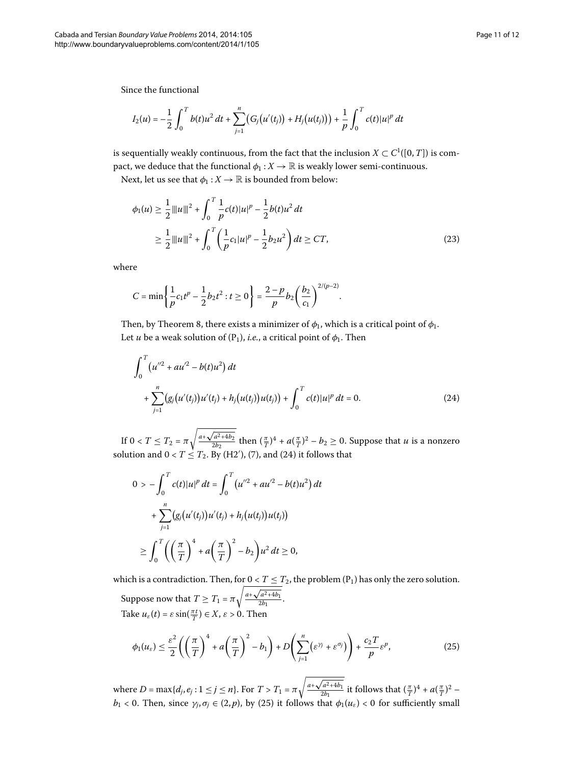Since the functional

$$
I_2(u) = -\frac{1}{2} \int_0^T b(t) u^2 dt + \sum_{j=1}^n (G_j(u'(t_j)) + H_j(u(t_j))) + \frac{1}{p} \int_0^T c(t) |u|^p dt
$$

is sequentially weakly continuous, from the fact that the inclusion  $X \subset C^1([0,T])$  is compact, we deduce that the functional  $\phi_1 : X \to \mathbb{R}$  is weakly lower semi-continuous.

Next, let us see that  $\phi_1 : X \to \mathbb{R}$  is bounded from below:

$$
\phi_1(u) \ge \frac{1}{2} ||u||^2 + \int_0^T \frac{1}{p} c(t) |u|^p - \frac{1}{2} b(t) u^2 dt
$$
  
\n
$$
\ge \frac{1}{2} ||u||^2 + \int_0^T \left(\frac{1}{p} c_1 |u|^p - \frac{1}{2} b_2 u^2\right) dt \ge CT,
$$
\n(23)

where

<span id="page-10-0"></span>
$$
C = \min\left\{\frac{1}{p}c_1t^p - \frac{1}{2}b_2t^2 : t \ge 0\right\} = \frac{2-p}{p}b_2\left(\frac{b_2}{c_1}\right)^{2/(p-2)}.
$$

Then[,](#page-5-3) by Theorem 8, there exists a minimizer of  $\phi_1$ , which is a critical point of  $\phi_1$ . Let *u* be a weak solution of  $(P_1)$ , *i.e.*, a critical point of  $\phi_1$ . Then

$$
\int_0^T (u''^2 + au'^2 - b(t)u^2) dt
$$
  
+ 
$$
\sum_{j=1}^n (g_j(u'(t_j))u'(t_j) + h_j(u(t_j))u(t_j)) + \int_0^T c(t) |u|^p dt = 0.
$$
 (24)

If  $0 < T \leq T_2 = \pi$  $\sqrt{\frac{a+\sqrt{a^2+4b_2}}{2b_2}}$  then  $(\frac{\pi}{T})^4 + a(\frac{\pi}{T})^2 - b_2 \ge 0$ . Suppose that *u* is a nonzero solution and  $0 < T \leq T_2$ . By (H2'[\)](#page-3-1), (7), and (24) it follows that

$$
0 > -\int_0^T c(t)|u|^p dt = \int_0^T (u''^2 + au'^2 - b(t)u^2) dt
$$
  
+ 
$$
\sum_{j=1}^n (g_j(u'(t_j))u'(t_j) + h_j(u(t_j))u(t_j))
$$
  

$$
\geq \int_0^T \left( \left(\frac{\pi}{T}\right)^4 + a\left(\frac{\pi}{T}\right)^2 - b_2\right)u^2 dt \geq 0,
$$

which is a contradiction. Then, for  $0 < T \leq T_2$ , the problem (P<sub>1</sub>) has only the zero solution. Suppose now that  $T \geq T_1 = \pi$  $\sqrt{a^2+4b}$  $\frac{a^{2}+4b^{2}}{2b^{1}}$ .

Take  $u_{\varepsilon}(t) = \varepsilon \sin(\frac{\pi t}{T}) \in X$ ,  $\varepsilon > 0$ . Then

<span id="page-10-1"></span>
$$
\phi_1(u_\varepsilon) \le \frac{\varepsilon^2}{2} \left( \left( \frac{\pi}{T} \right)^4 + a \left( \frac{\pi}{T} \right)^2 - b_1 \right) + D \left( \sum_{j=1}^n (\varepsilon^{\gamma_j} + \varepsilon^{\sigma_j}) \right) + \frac{c_2 T}{p} \varepsilon^p, \tag{25}
$$

where  $D = \max\{d_j, e_j : 1 \le j \le n\}$ . For  $T > T_1 = \pi$  $\sqrt{\frac{a+\sqrt{a^2+4b_1}}{2b_1}}$  it follows that  $(\frac{\pi}{T})^4 + a(\frac{\pi}{T})^2$  – *b*<sub>1</sub> < 0. Then, since  $\gamma_j$ ,  $\sigma_j \in (2, p)$  $\sigma_j \in (2, p)$  $\sigma_j \in (2, p)$ , by (25) it follows that  $\phi_1(u_\varepsilon) < 0$  for sufficiently small